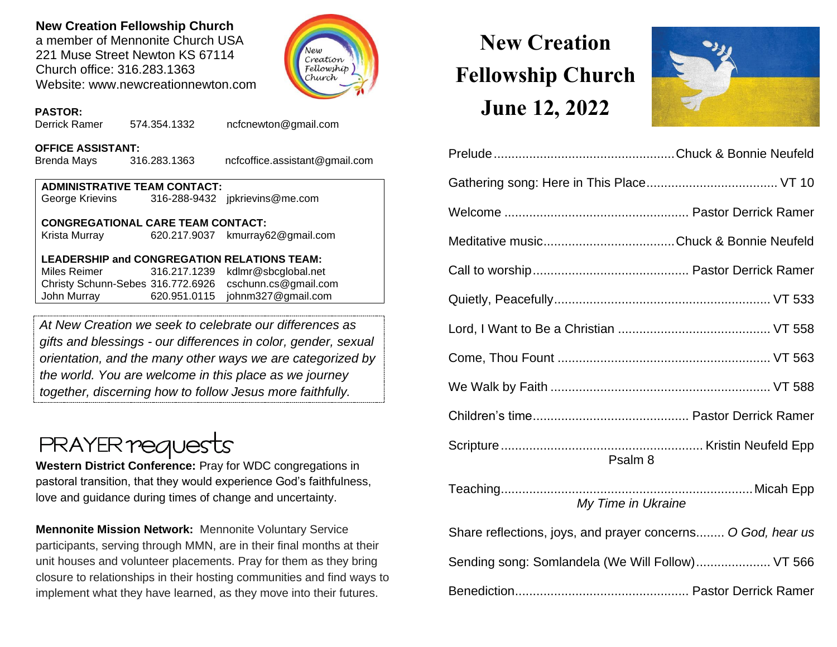### **New Creation Fellowship Church**

a member of Mennonite Church USA 221 Muse Street Newton KS 67114 Church office: 316.283.1363 Website: www.newcreationnewton.com



### **PASTOR:**

Derrick Ramer 574.354.1332 [ncfcnewton@gmail.com](mailto:ncfcnewton@gmail.com)

### **OFFICE ASSISTANT:**

Brenda Mays 316.283.1363 ncfcoffice.assistant@gmail.com

| <b>ADMINISTRATIVE TEAM CONTACT:</b> |  |                                |  |  |  |  |
|-------------------------------------|--|--------------------------------|--|--|--|--|
| George Krievins                     |  | 316-288-9432 jpkrievins@me.com |  |  |  |  |

### **CONGREGATIONAL CARE TEAM CONTACT:**

Krista Murray 620.217.9037 [kmurray62@gmail.com](mailto:kmurray62@gmail.com)

### **LEADERSHIP and CONGREGATION RELATIONS TEAM:**

Miles Reimer [316.217.1239](mailto:316.217.1239) kdlmr@sbcglobal.net Christy Schunn-Sebes 316.772.6926 cschunn.cs@gmail.com John Murray 620.951.0115 johnm327@gmail.com

*At New Creation we seek to celebrate our differences as gifts and blessings - our differences in color, gender, sexual orientation, and the many other ways we are categorized by the world. You are welcome in this place as we journey together, discerning how to follow Jesus more faithfully.*

## **PRAYER requests**

**Western District Conference:** Pray for WDC congregations in pastoral transition, that they would experience God's faithfulness, love and guidance during times of change and uncertainty.

**Mennonite Mission Network:** Mennonite Voluntary Service participants, serving through MMN, are in their final months at their unit houses and volunteer placements. Pray for them as they bring closure to relationships in their hosting communities and find ways to implement what they have learned, as they move into their futures.

# **New Creation Fellowship Church June 12, 2022**



| Psalm <sub>8</sub>                                          |  |  |  |
|-------------------------------------------------------------|--|--|--|
| My Time in Ukraine                                          |  |  |  |
| Share reflections, joys, and prayer concerns O God, hear us |  |  |  |
| Sending song: Somlandela (We Will Follow) VT 566            |  |  |  |
|                                                             |  |  |  |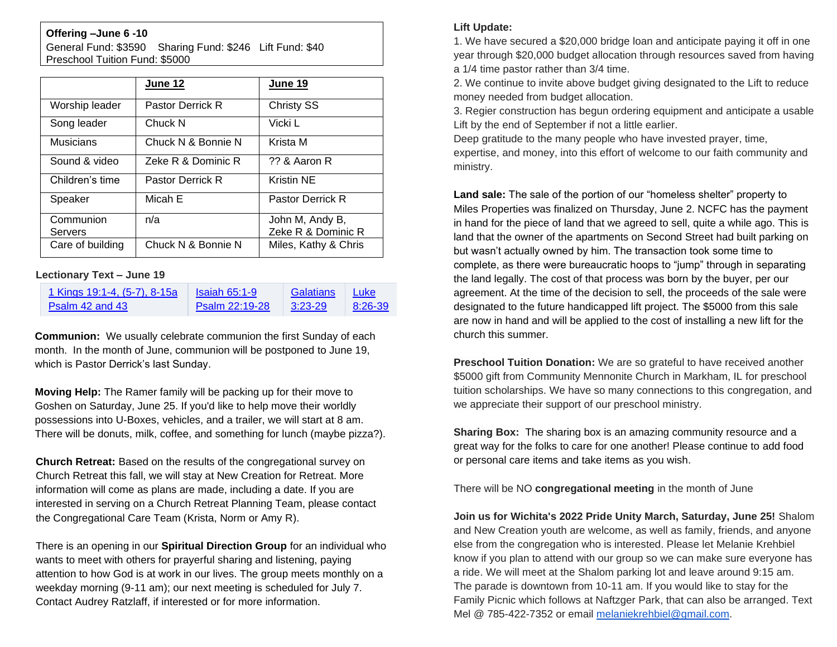### **Offering –June 6 -10**

General Fund: \$3590 Sharing Fund: \$246 Lift Fund: \$40 Preschool Tuition Fund: \$5000

|                             | June 12                 | June 19                               |
|-----------------------------|-------------------------|---------------------------------------|
| Worship leader              | <b>Pastor Derrick R</b> | <b>Christy SS</b>                     |
| Song leader                 | Chuck N                 | Vicki L                               |
| <b>Musicians</b>            | Chuck N & Bonnie N      | Krista M                              |
| Sound & video               | Zeke R & Dominic R      | ?? & Aaron R                          |
| Children's time             | <b>Pastor Derrick R</b> | <b>Kristin NE</b>                     |
| Speaker                     | Micah E                 | <b>Pastor Derrick R</b>               |
| Communion<br><b>Servers</b> | n/a                     | John M, Andy B,<br>Zeke R & Dominic R |
| Care of building            | Chuck N & Bonnie N      | Miles, Kathy & Chris                  |

#### **Lectionary Text – June 19**

| 1 Kings 19:1-4, (5-7), 8-15a | $Isaiah 65:1-9$       | Galatians | <b>Luke</b> |
|------------------------------|-----------------------|-----------|-------------|
| Psalm 42 and 43              | <b>Psalm 22:19-28</b> | $3:23-29$ | 8:26-39     |

**Communion:** We usually celebrate communion the first Sunday of each month. In the month of June, communion will be postponed to June 19, which is Pastor Derrick's last Sunday.

**Moving Help:** The Ramer family will be packing up for their move to Goshen on Saturday, June 25. If you'd like to help move their worldly possessions into U-Boxes, vehicles, and a trailer, we will start at 8 am. There will be donuts, milk, coffee, and something for lunch (maybe pizza?).

**Church Retreat:** Based on the results of the congregational survey on Church Retreat this fall, we will stay at New Creation for Retreat. More information will come as plans are made, including a date. If you are interested in serving on a Church Retreat Planning Team, please contact the Congregational Care Team (Krista, Norm or Amy R).

There is an opening in our **Spiritual Direction Group** for an individual who wants to meet with others for prayerful sharing and listening, paying attention to how God is at work in our lives. The group meets monthly on a weekday morning (9-11 am); our next meeting is scheduled for July 7. Contact Audrey Ratzlaff, if interested or for more information.

### **Lift Update:**

1. We have secured a \$20,000 bridge loan and anticipate paying it off in one year through \$20,000 budget allocation through resources saved from having a 1/4 time pastor rather than 3/4 time.

2. We continue to invite above budget giving designated to the Lift to reduce money needed from budget allocation.

3. Regier construction has begun ordering equipment and anticipate a usable Lift by the end of September if not a little earlier.

Deep gratitude to the many people who have invested prayer, time, expertise, and money, into this effort of welcome to our faith community and ministry.

**Land sale:** The sale of the portion of our "homeless shelter" property to Miles Properties was finalized on Thursday, June 2. NCFC has the payment in hand for the piece of land that we agreed to sell, quite a while ago. This is land that the owner of the apartments on Second Street had built parking on but wasn't actually owned by him. The transaction took some time to complete, as there were bureaucratic hoops to "jump" through in separating the land legally. The cost of that process was born by the buyer, per our [agreement](https://lectionary.library.vanderbilt.edu/texts.php?id=267). At the time of the decision to sell, the proceeds of the sale were designated to the future handicapped lift project. The \$5000 from this sale are now in hand and will be applied to the cost of installing a new lift for the church this summer.

**Preschool Tuition Donation:** We are so grateful to have received another \$5000 gift from Community Mennonite Church in Markham, IL for preschool tuition scholarships. We have so many connections to this congregation, and we appreciate their support of our preschool ministry.

**Sharing Box:** The sharing box is an amazing community resource and a great way for the folks to care for one another! Please continue to add food or personal care items and take items as you wish.

There will be NO **congregational meeting** in the month of June

**Join us for Wichita's 2022 Pride Unity March, Saturday, June 25!** Shalom and New Creation youth are welcome, as well as family, friends, and anyone else from the congregation who is interested. Please let Melanie Krehbiel know if you plan to attend with our group so we can make sure everyone has a ride. We will meet at the Shalom parking lot and leave around 9:15 am. The parade is downtown from 10-11 am. If you would like to stay for the Family Picnic which follows at Naftzger Park, that can also be arranged. Text Mel @ 785-422-7352 or email [melaniekrehbiel@gmail.com.](mailto:melaniekrehbiel@gmail.com)